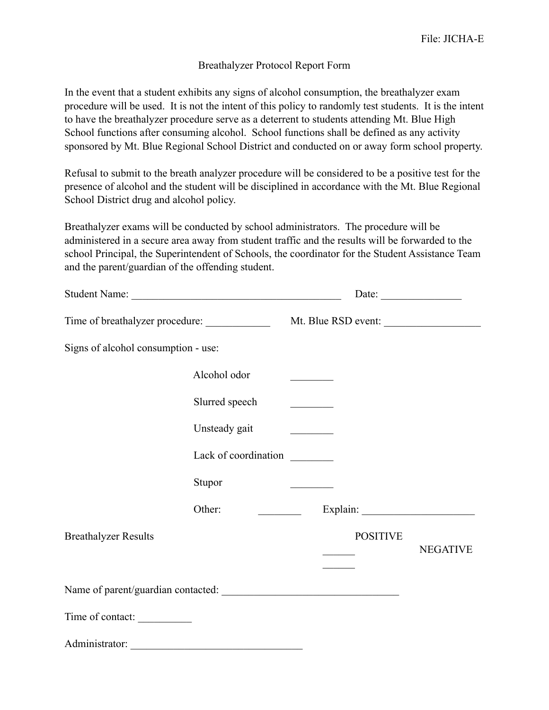## Breathalyzer Protocol Report Form

In the event that a student exhibits any signs of alcohol consumption, the breathalyzer exam procedure will be used. It is not the intent of this policy to randomly test students. It is the intent to have the breathalyzer procedure serve as a deterrent to students attending Mt. Blue High School functions after consuming alcohol. School functions shall be defined as any activity sponsored by Mt. Blue Regional School District and conducted on or away form school property.

Refusal to submit to the breath analyzer procedure will be considered to be a positive test for the presence of alcohol and the student will be disciplined in accordance with the Mt. Blue Regional School District drug and alcohol policy.

Breathalyzer exams will be conducted by school administrators. The procedure will be administered in a secure area away from student traffic and the results will be forwarded to the school Principal, the Superintendent of Schools, the coordinator for the Student Assistance Team and the parent/guardian of the offending student.

| Student Name:                       |                                    | Date: $\frac{1}{\sqrt{1-\frac{1}{2}} \cdot \frac{1}{2}}$ |                 |
|-------------------------------------|------------------------------------|----------------------------------------------------------|-----------------|
| Time of breathalyzer procedure:     |                                    | Mt. Blue RSD event:                                      |                 |
| Signs of alcohol consumption - use: |                                    |                                                          |                 |
|                                     | Alcohol odor                       |                                                          |                 |
|                                     | Slurred speech                     | <u> 1999 - Johann John Barns</u>                         |                 |
|                                     | Unsteady gait                      |                                                          |                 |
|                                     | Lack of coordination               |                                                          |                 |
|                                     | Stupor                             |                                                          |                 |
|                                     | Other:<br>$\overline{\phantom{a}}$ |                                                          |                 |
| <b>Breathalyzer Results</b>         |                                    | <b>POSITIVE</b>                                          |                 |
|                                     |                                    |                                                          | <b>NEGATIVE</b> |
|                                     |                                    |                                                          |                 |
| Time of contact:                    |                                    |                                                          |                 |
| Administrator:                      |                                    |                                                          |                 |